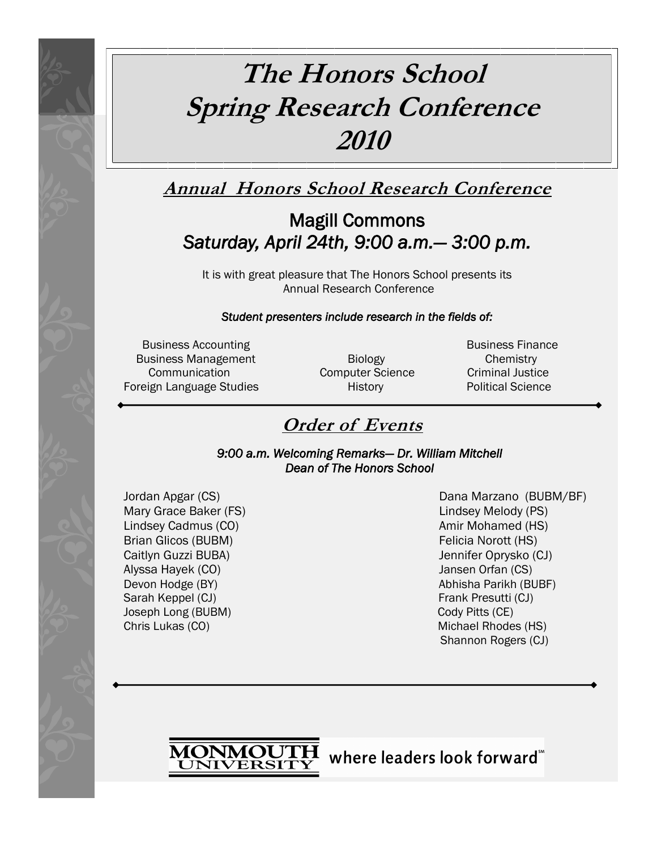# **The Honors School Spring Research Conference 2010**

## **Annual Honors School Research Conference**

## Magill Commons *Saturday, April 24th, 9:00 a.m.— 3:00 p.m.*

It is with great pleasure that The Honors School presents its Annual Research Conference

### *Student presenters include research in the fields of:*

Business Accounting **Business Finance Business Finance** Business Management **Biology Chemistry** Chemistry Communication **Computer Science** Criminal Justice Foreign Language Studies **History** History **Political Science** 

## **Order of Events**

*9:00 a.m. Welcoming Remarks— Dr. William Mitchell Dean of The Honors School* 

Mary Grace Baker (FS) Lindsey Melody (PS) Lindsey Cadmus (CO) Amir Mohamed (HS) Brian Glicos (BUBM) **Felicia Norott** (HS) Caitlyn Guzzi BUBA) Jennifer Oprysko (CJ) Alyssa Hayek (CO) Jansen Orfan (CS) Devon Hodge (BY) **Abhisha Parikh (BUBF) Abhisha Parikh (BUBF)** Sarah Keppel (CJ) **Frank Presutti (CJ) Frank Presutti (CJ)** Joseph Long (BUBM) Cody Pitts (CE) Chris Lukas (CO) **Michael Rhodes (HS)** Michael Rhodes (HS)

Jordan Apgar (CS) Dana Marzano (BUBM/BF) Shannon Rogers (CJ)

MONMOUTH where leaders look forward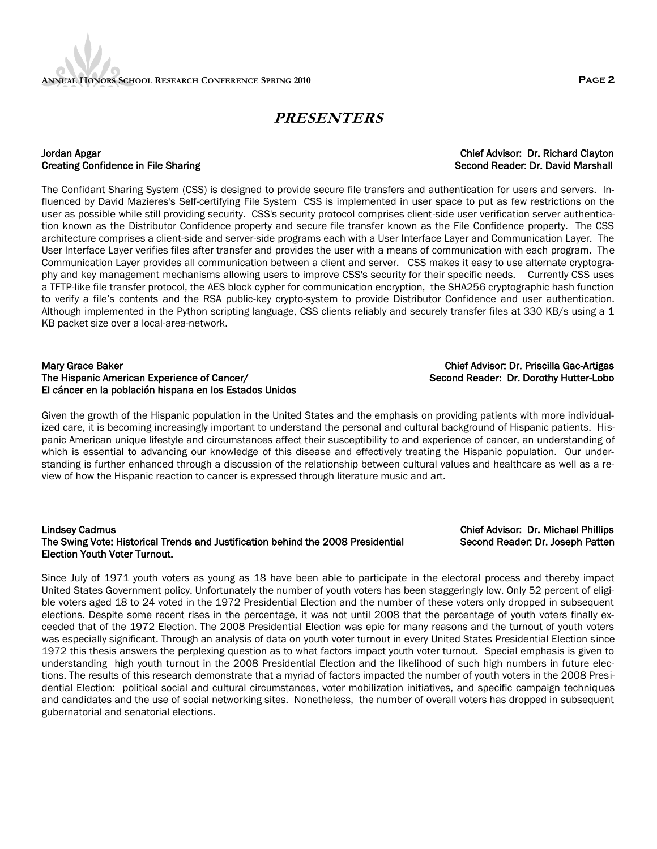## **PRESENTERS**

#### Jordan Apgar Chief Advisor: Dr. Richard Clayton Creating Confidence in File Sharing Second Reader: Dr. David Marshall Second Reader: Dr. David Marshall

The Confidant Sharing System (CSS) is designed to provide secure file transfers and authentication for users and servers. Influenced by David Mazieres's Self-certifying File System CSS is implemented in user space to put as few restrictions on the user as possible while still providing security. CSS's security protocol comprises client-side user verification server authentication known as the Distributor Confidence property and secure file transfer known as the File Confidence property. The CSS architecture comprises a client-side and server-side programs each with a User Interface Layer and Communication Layer. The User Interface Layer verifies files after transfer and provides the user with a means of communication with each program. The Communication Layer provides all communication between a client and server. CSS makes it easy to use alternate cryptography and key management mechanisms allowing users to improve CSS's security for their specific needs. Currently CSS uses a TFTP-like file transfer protocol, the AES block cypher for communication encryption, the SHA256 cryptographic hash function to verify a file"s contents and the RSA public-key crypto-system to provide Distributor Confidence and user authentication. Although implemented in the Python scripting language, CSS clients reliably and securely transfer files at 330 KB/s using a 1 KB packet size over a local-area-network.

#### Mary Grace Baker Chief Advisor: Dr. Priscilla Gac-Artigas The Hispanic American Experience of Cancer/ Second Reader: Dr. Dorothy Hutter-Lobo El cáncer en la población hispana en los Estados Unidos

Given the growth of the Hispanic population in the United States and the emphasis on providing patients with more individualized care, it is becoming increasingly important to understand the personal and cultural background of Hispanic patients. Hispanic American unique lifestyle and circumstances affect their susceptibility to and experience of cancer, an understanding of which is essential to advancing our knowledge of this disease and effectively treating the Hispanic population. Our understanding is further enhanced through a discussion of the relationship between cultural values and healthcare as well as a review of how the Hispanic reaction to cancer is expressed through literature music and art.

#### Lindsey Cadmus Chief Advisor: Dr. Michael Phillips The Swing Vote: Historical Trends and Justification behind the 2008 Presidential Second Reader: Dr. Joseph Patten Election Youth Voter Turnout.

Since July of 1971 youth voters as young as 18 have been able to participate in the electoral process and thereby impact United States Government policy. Unfortunately the number of youth voters has been staggeringly low. Only 52 percent of eligible voters aged 18 to 24 voted in the 1972 Presidential Election and the number of these voters only dropped in subsequent elections. Despite some recent rises in the percentage, it was not until 2008 that the percentage of youth voters finally exceeded that of the 1972 Election. The 2008 Presidential Election was epic for many reasons and the turnout of youth voters was especially significant. Through an analysis of data on youth voter turnout in every United States Presidential Election since 1972 this thesis answers the perplexing question as to what factors impact youth voter turnout. Special emphasis is given to understanding high youth turnout in the 2008 Presidential Election and the likelihood of such high numbers in future elections. The results of this research demonstrate that a myriad of factors impacted the number of youth voters in the 2008 Presidential Election: political social and cultural circumstances, voter mobilization initiatives, and specific campaign techniques and candidates and the use of social networking sites. Nonetheless, the number of overall voters has dropped in subsequent gubernatorial and senatorial elections.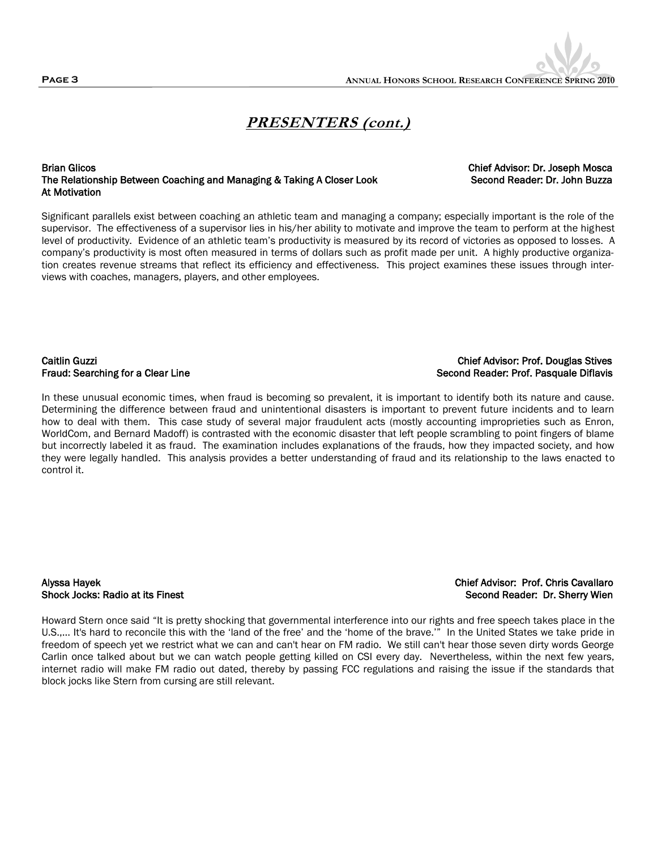#### Brian Glicos Chief Advisor: Dr. Joseph Mosca The Relationship Between Coaching and Managing & Taking A Closer Look Second Reader: Dr. John Buzza At Motivation

views with coaches, managers, players, and other employees.

Significant parallels exist between coaching an athletic team and managing a company; especially important is the role of the supervisor. The effectiveness of a supervisor lies in his/her ability to motivate and improve the team to perform at the highest level of productivity. Evidence of an athletic team"s productivity is measured by its record of victories as opposed to losses. A company"s productivity is most often measured in terms of dollars such as profit made per unit. A highly productive organization creates revenue streams that reflect its efficiency and effectiveness. This project examines these issues through inter-

### Caitlin Guzzi Chief Advisor: Prof. Douglas Stives Fraud: Searching for a Clear Line Second Reader: Prof. Pasquale Diflavis

In these unusual economic times, when fraud is becoming so prevalent, it is important to identify both its nature and cause. Determining the difference between fraud and unintentional disasters is important to prevent future incidents and to learn how to deal with them. This case study of several major fraudulent acts (mostly accounting improprieties such as Enron, WorldCom, and Bernard Madoff) is contrasted with the economic disaster that left people scrambling to point fingers of blame but incorrectly labeled it as fraud. The examination includes explanations of the frauds, how they impacted society, and how they were legally handled. This analysis provides a better understanding of fraud and its relationship to the laws enacted to control it.

Alyssa Hayek Chief Advisor: Prof. Chris Cavallaro

## Shock Jocks: Radio at its Finest Second Reader: Dr. Sherry Wien

Howard Stern once said "It is pretty shocking that governmental interference into our rights and free speech takes place in the U.S.,... It's hard to reconcile this with the "land of the free" and the "home of the brave."" In the United States we take pride in freedom of speech yet we restrict what we can and can't hear on FM radio. We still can't hear those seven dirty words George Carlin once talked about but we can watch people getting killed on CSI every day. Nevertheless, within the next few years, internet radio will make FM radio out dated, thereby by passing FCC regulations and raising the issue if the standards that block jocks like Stern from cursing are still relevant.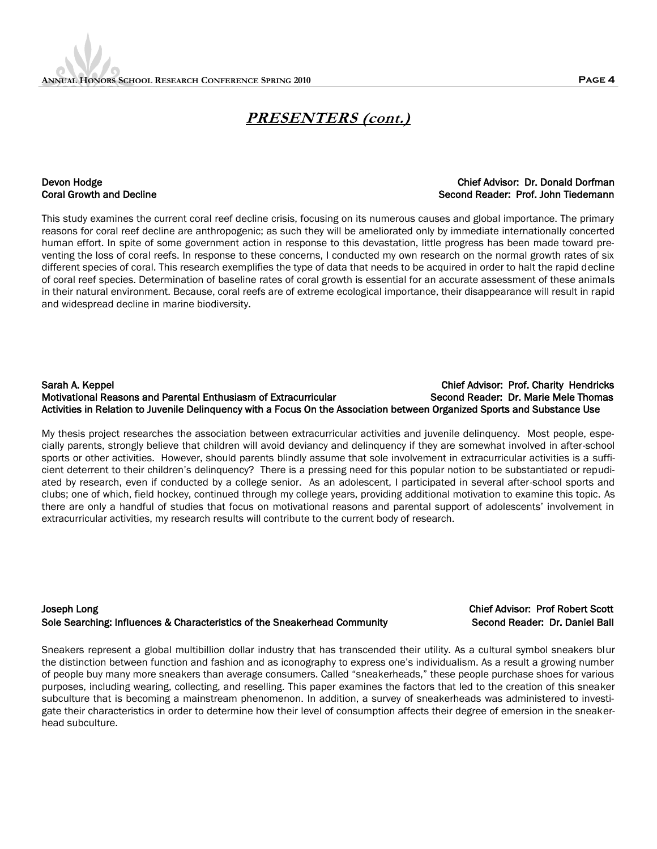### Devon Hodge Chief Advisor: Dr. Donald Dorfman Coral Growth and Decline Second Reader: Prof. John Tiedemann

This study examines the current coral reef decline crisis, focusing on its numerous causes and global importance. The primary reasons for coral reef decline are anthropogenic; as such they will be ameliorated only by immediate internationally concerted human effort. In spite of some government action in response to this devastation, little progress has been made toward preventing the loss of coral reefs. In response to these concerns, I conducted my own research on the normal growth rates of six different species of coral. This research exemplifies the type of data that needs to be acquired in order to halt the rapid decline of coral reef species. Determination of baseline rates of coral growth is essential for an accurate assessment of these animals in their natural environment. Because, coral reefs are of extreme ecological importance, their disappearance will result in rapid and widespread decline in marine biodiversity.

### Sarah A. Keppel Chief Advisor: Prof. Charity Hendricks Motivational Reasons and Parental Enthusiasm of Extracurricular Second Reader: Dr. Marie Mele Thomas Activities in Relation to Juvenile Delinquency with a Focus On the Association between Organized Sports and Substance Use

My thesis project researches the association between extracurricular activities and juvenile delinquency. Most people, especially parents, strongly believe that children will avoid deviancy and delinquency if they are somewhat involved in after-school sports or other activities. However, should parents blindly assume that sole involvement in extracurricular activities is a sufficient deterrent to their children"s delinquency? There is a pressing need for this popular notion to be substantiated or repudiated by research, even if conducted by a college senior. As an adolescent, I participated in several after-school sports and clubs; one of which, field hockey, continued through my college years, providing additional motivation to examine this topic. As there are only a handful of studies that focus on motivational reasons and parental support of adolescents' involvement in extracurricular activities, my research results will contribute to the current body of research.

### Joseph Long Chief Advisor: Prof Robert Scott Sole Searching: Influences & Characteristics of the Sneakerhead Community Second Reader: Dr. Daniel Ball

Sneakers represent a global multibillion dollar industry that has transcended their utility. As a cultural symbol sneakers blur the distinction between function and fashion and as iconography to express one"s individualism. As a result a growing number of people buy many more sneakers than average consumers. Called "sneakerheads," these people purchase shoes for various purposes, including wearing, collecting, and reselling. This paper examines the factors that led to the creation of this sneaker subculture that is becoming a mainstream phenomenon. In addition, a survey of sneakerheads was administered to investigate their characteristics in order to determine how their level of consumption affects their degree of emersion in the sneakerhead subculture.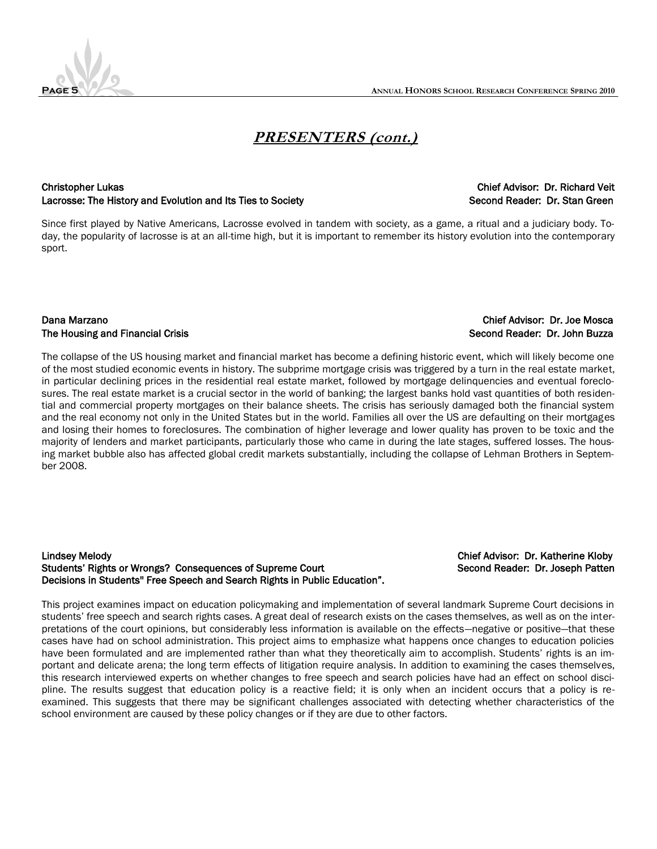

#### Christopher Lukas Chief Advisor: Dr. Richard Veit Lacrosse: The History and Evolution and Its Ties to Society Second Reader: Dr. Stan Green

Since first played by Native Americans, Lacrosse evolved in tandem with society, as a game, a ritual and a judiciary body. Today, the popularity of lacrosse is at an all-time high, but it is important to remember its history evolution into the contemporary sport.

### Dana Marzano Chief Advisor: Dr. Joe Mosca The Housing and Financial Crisis Second Reader: Dr. John Buzza

The collapse of the US housing market and financial market has become a defining historic event, which will likely become one of the most studied economic events in history. The subprime mortgage crisis was triggered by a turn in the real estate market, in particular declining prices in the residential real estate market, followed by mortgage delinquencies and eventual foreclosures. The real estate market is a crucial sector in the world of banking; the largest banks hold vast quantities of both residential and commercial property mortgages on their balance sheets. The crisis has seriously damaged both the financial system and the real economy not only in the United States but in the world. Families all over the US are defaulting on their mortgages and losing their homes to foreclosures. The combination of higher leverage and lower quality has proven to be toxic and the majority of lenders and market participants, particularly those who came in during the late stages, suffered losses. The housing market bubble also has affected global credit markets substantially, including the collapse of Lehman Brothers in September 2008.

#### Lindsey Melody Chief Advisor: Dr. Katherine Kloby Students' Rights or Wrongs? Consequences of Supreme Court Second Reader: Dr. Joseph Patten Decisions in Students'' Free Speech and Search Rights in Public Education".

This project examines impact on education policymaking and implementation of several landmark Supreme Court decisions in students" free speech and search rights cases. A great deal of research exists on the cases themselves, as well as on the interpretations of the court opinions, but considerably less information is available on the effects—negative or positive—that these cases have had on school administration. This project aims to emphasize what happens once changes to education policies have been formulated and are implemented rather than what they theoretically aim to accomplish. Students' rights is an important and delicate arena; the long term effects of litigation require analysis. In addition to examining the cases themselves, this research interviewed experts on whether changes to free speech and search policies have had an effect on school discipline. The results suggest that education policy is a reactive field; it is only when an incident occurs that a policy is reexamined. This suggests that there may be significant challenges associated with detecting whether characteristics of the school environment are caused by these policy changes or if they are due to other factors.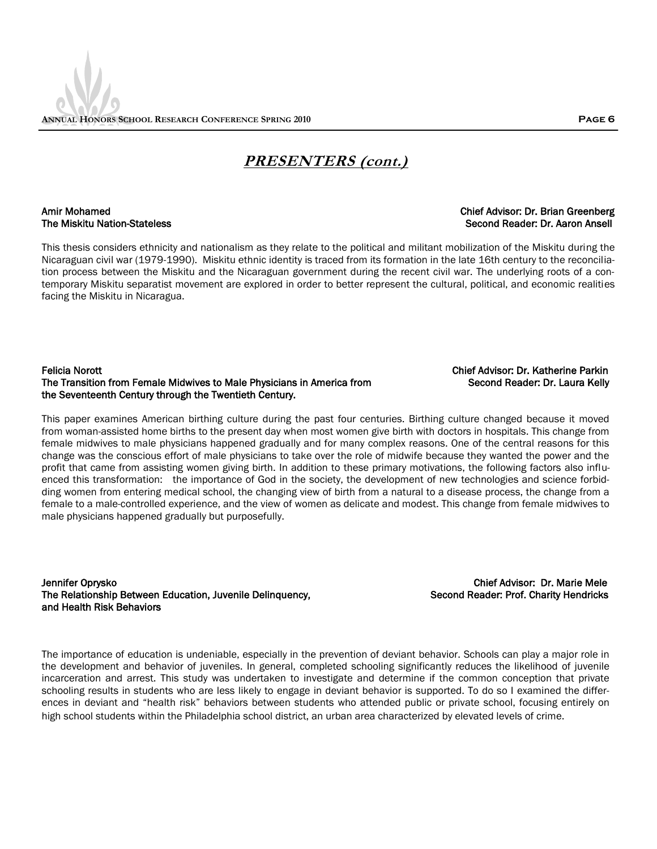## The Miskitu Nation-Stateless Second Reader: Dr. Aaron Ansell

This thesis considers ethnicity and nationalism as they relate to the political and militant mobilization of the Miskitu during the Nicaraguan civil war (1979-1990). Miskitu ethnic identity is traced from its formation in the late 16th century to the reconciliation process between the Miskitu and the Nicaraguan government during the recent civil war. The underlying roots of a contemporary Miskitu separatist movement are explored in order to better represent the cultural, political, and economic realities facing the Miskitu in Nicaragua.

#### Felicia Norott Chief Advisor: Dr. Katherine Parkin The Transition from Female Midwives to Male Physicians in America from Second Reader: Dr. Laura Kelly the Seventeenth Century through the Twentieth Century.

This paper examines American birthing culture during the past four centuries. Birthing culture changed because it moved from woman-assisted home births to the present day when most women give birth with doctors in hospitals. This change from female midwives to male physicians happened gradually and for many complex reasons. One of the central reasons for this change was the conscious effort of male physicians to take over the role of midwife because they wanted the power and the profit that came from assisting women giving birth. In addition to these primary motivations, the following factors also influenced this transformation: the importance of God in the society, the development of new technologies and science forbidding women from entering medical school, the changing view of birth from a natural to a disease process, the change from a female to a male-controlled experience, and the view of women as delicate and modest. This change from female midwives to male physicians happened gradually but purposefully.

Jennifer Oprysko Chief Advisor: Dr. Marie Mele The Relationship Between Education, Juvenile Delinquency, Summan Second Reader: Prof. Charity Hendricks and Health Risk Behaviors

The importance of education is undeniable, especially in the prevention of deviant behavior. Schools can play a major role in the development and behavior of juveniles. In general, completed schooling significantly reduces the likelihood of juvenile incarceration and arrest. This study was undertaken to investigate and determine if the common conception that private schooling results in students who are less likely to engage in deviant behavior is supported. To do so I examined the differences in deviant and "health risk" behaviors between students who attended public or private school, focusing entirely on high school students within the Philadelphia school district, an urban area characterized by elevated levels of crime.

## Amir Mohamed Chief Advisor: Dr. Brian Greenberg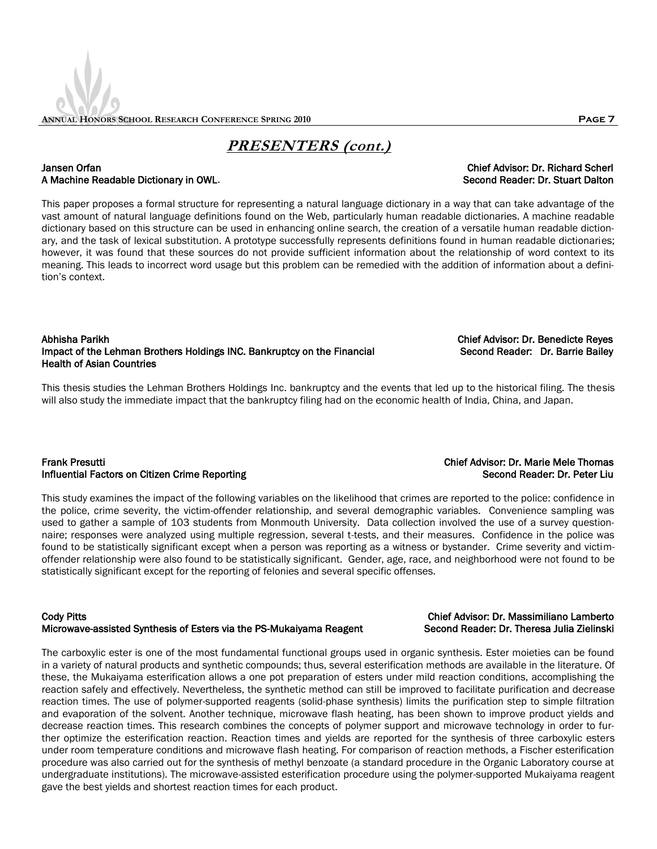### Jansen Orfan Chief Advisor: Dr. Richard Scherl A Machine Readable Dictionary in OWL. Second Reader: Dr. Stuart Dalton Second Reader: Dr. Stuart Dalton

This paper proposes a formal structure for representing a natural language dictionary in a way that can take advantage of the vast amount of natural language definitions found on the Web, particularly human readable dictionaries. A machine readable dictionary based on this structure can be used in enhancing online search, the creation of a versatile human readable dictionary, and the task of lexical substitution. A prototype successfully represents definitions found in human readable dictionaries; however, it was found that these sources do not provide sufficient information about the relationship of word context to its meaning. This leads to incorrect word usage but this problem can be remedied with the addition of information about a definition"s context.

### Abhisha Parikh Chief Advisor: Dr. Benedicte Reyes Impact of the Lehman Brothers Holdings INC. Bankruptcy on the Financial Second Reader: Dr. Barrie Bailey Health of Asian Countries

This thesis studies the Lehman Brothers Holdings Inc. bankruptcy and the events that led up to the historical filing. The thesis will also study the immediate impact that the bankruptcy filing had on the economic health of India, China, and Japan.

### Frank Presutti Chief Advisor: Dr. Marie Mele Thomas Influential Factors on Citizen Crime Reporting Second Reader: Dr. Peter Liu

This study examines the impact of the following variables on the likelihood that crimes are reported to the police: confidence in the police, crime severity, the victim-offender relationship, and several demographic variables. Convenience sampling was used to gather a sample of 103 students from Monmouth University. Data collection involved the use of a survey questionnaire; responses were analyzed using multiple regression, several t-tests, and their measures. Confidence in the police was found to be statistically significant except when a person was reporting as a witness or bystander. Crime severity and victimoffender relationship were also found to be statistically significant. Gender, age, race, and neighborhood were not found to be statistically significant except for the reporting of felonies and several specific offenses.

#### Cody Pitts Chief Advisor: Dr. Massimiliano Lamberto Microwave-assisted Synthesis of Esters via the PS-Mukaiyama Reagent Second Reader: Dr. Theresa Julia Zielinski

The carboxylic ester is one of the most fundamental functional groups used in organic synthesis. Ester moieties can be found in a variety of natural products and synthetic compounds; thus, several esterification methods are available in the literature. Of these, the Mukaiyama esterification allows a one pot preparation of esters under mild reaction conditions, accomplishing the reaction safely and effectively. Nevertheless, the synthetic method can still be improved to facilitate purification and decrease reaction times. The use of polymer-supported reagents (solid-phase synthesis) limits the purification step to simple filtration and evaporation of the solvent. Another technique, microwave flash heating, has been shown to improve product yields and decrease reaction times. This research combines the concepts of polymer support and microwave technology in order to further optimize the esterification reaction. Reaction times and yields are reported for the synthesis of three carboxylic esters under room temperature conditions and microwave flash heating. For comparison of reaction methods, a Fischer esterification procedure was also carried out for the synthesis of methyl benzoate (a standard procedure in the Organic Laboratory course at undergraduate institutions). The microwave-assisted esterification procedure using the polymer-supported Mukaiyama reagent gave the best yields and shortest reaction times for each product.